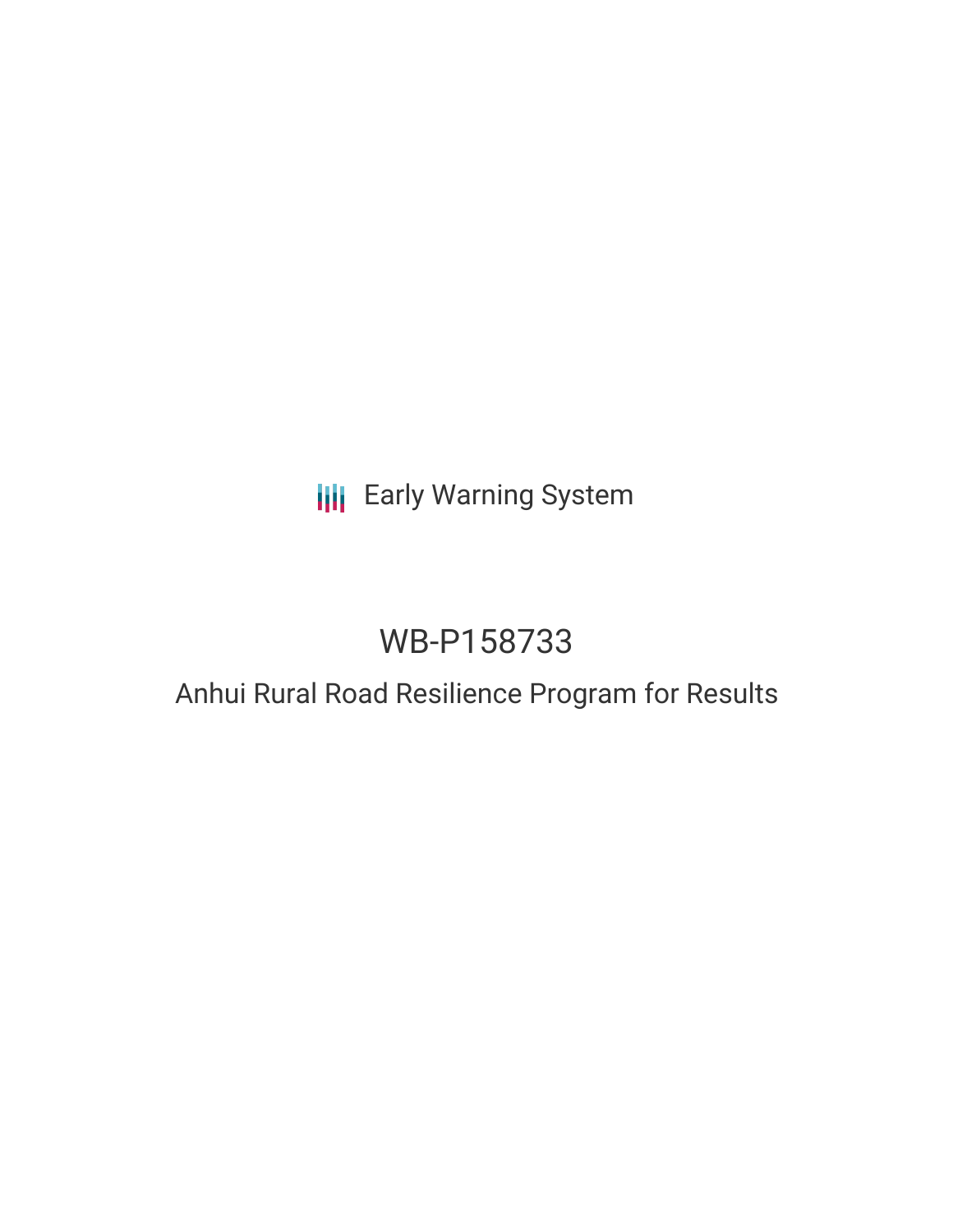## **III** Early Warning System

# WB-P158733

### Anhui Rural Road Resilience Program for Results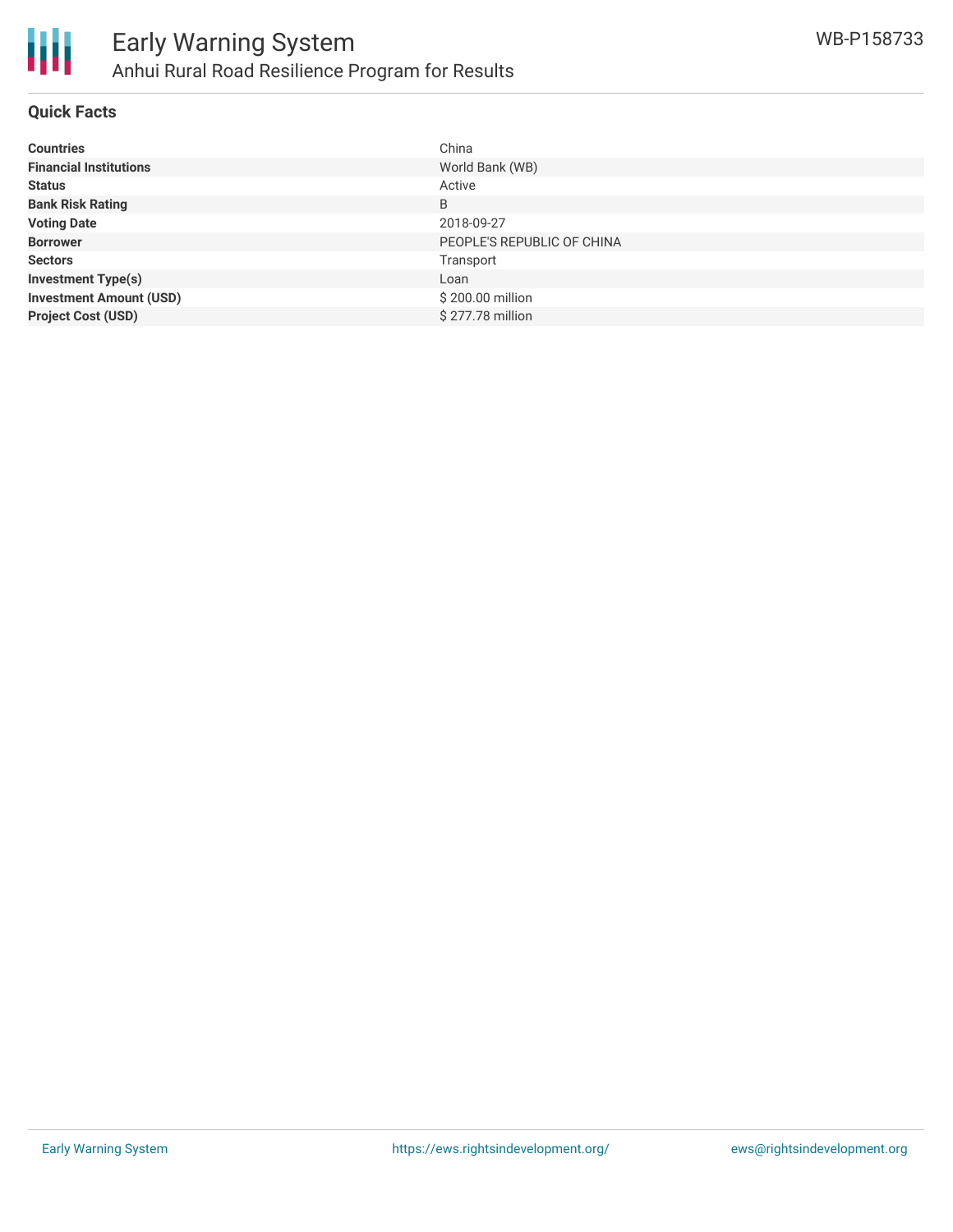

#### **Quick Facts**

| <b>Countries</b>               | China                      |
|--------------------------------|----------------------------|
| <b>Financial Institutions</b>  | World Bank (WB)            |
| <b>Status</b>                  | Active                     |
| <b>Bank Risk Rating</b>        | B                          |
| <b>Voting Date</b>             | 2018-09-27                 |
| <b>Borrower</b>                | PEOPLE'S REPUBLIC OF CHINA |
| <b>Sectors</b>                 | Transport                  |
| <b>Investment Type(s)</b>      | Loan                       |
| <b>Investment Amount (USD)</b> | \$200.00 million           |
| <b>Project Cost (USD)</b>      | \$277.78 million           |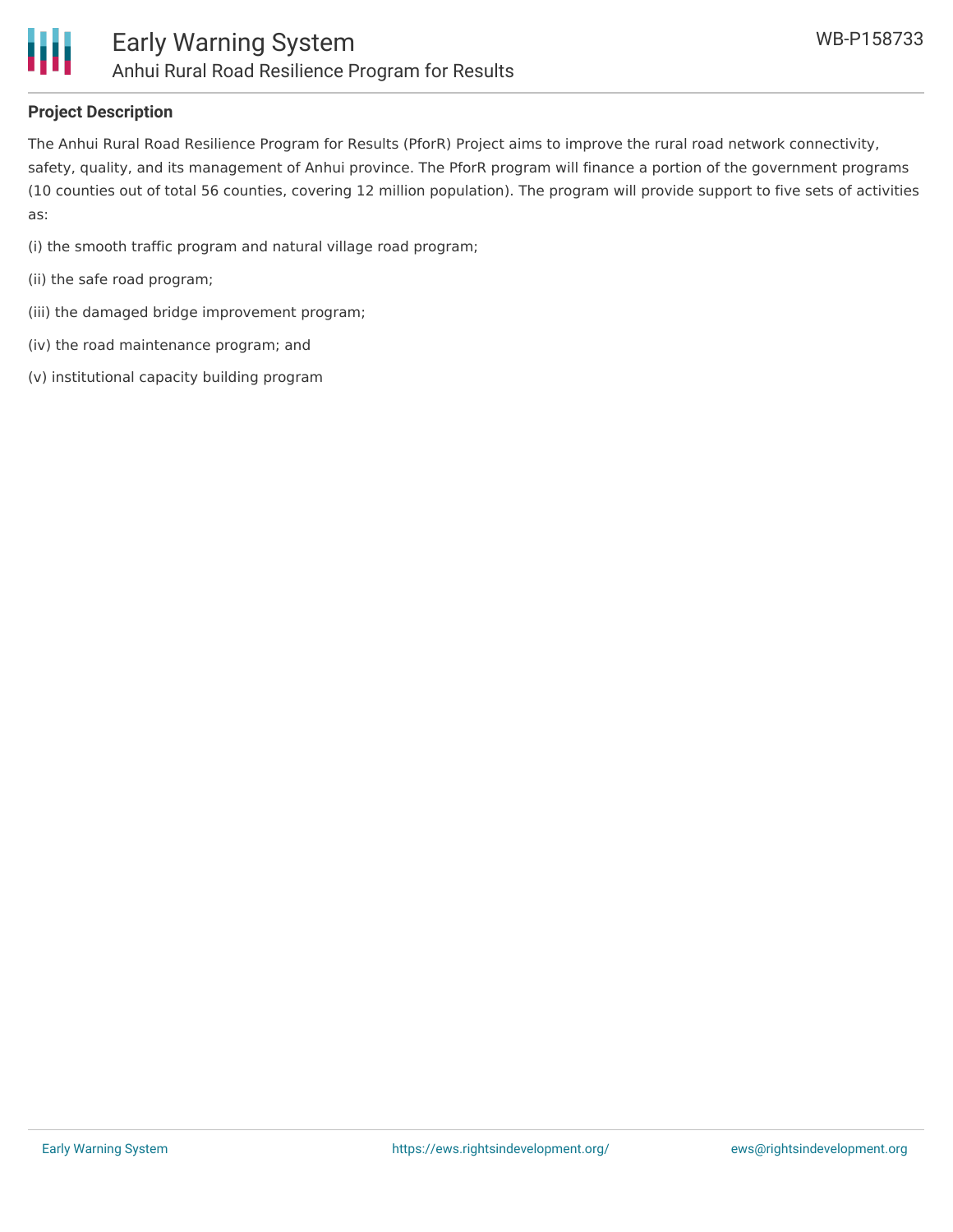

#### **Project Description**

The Anhui Rural Road Resilience Program for Results (PforR) Project aims to improve the rural road network connectivity, safety, quality, and its management of Anhui province. The PforR program will finance a portion of the government programs (10 counties out of total 56 counties, covering 12 million population). The program will provide support to five sets of activities as:

(i) the smooth traffic program and natural village road program;

- (ii) the safe road program;
- (iii) the damaged bridge improvement program;
- (iv) the road maintenance program; and
- (v) institutional capacity building program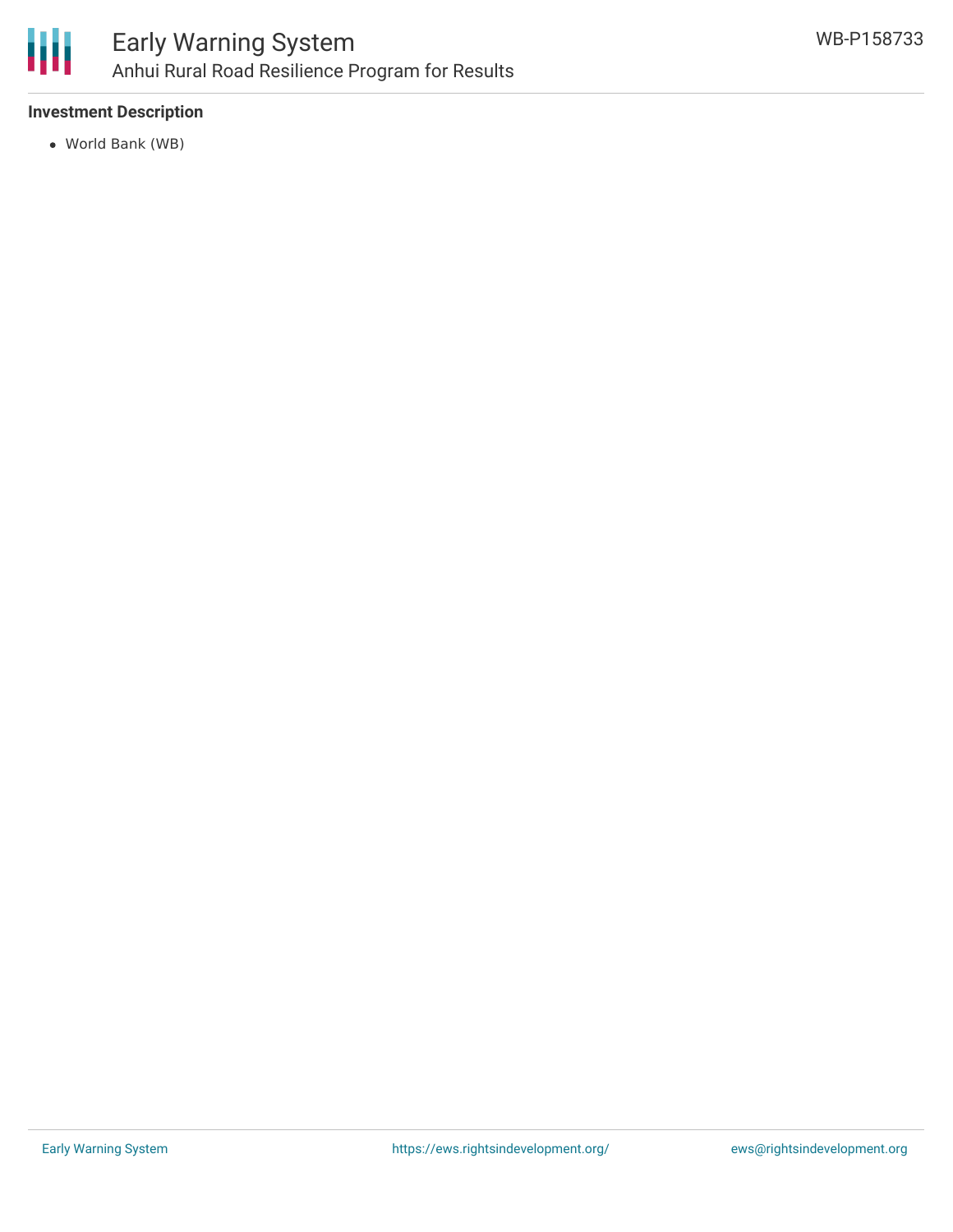

#### **Investment Description**

World Bank (WB)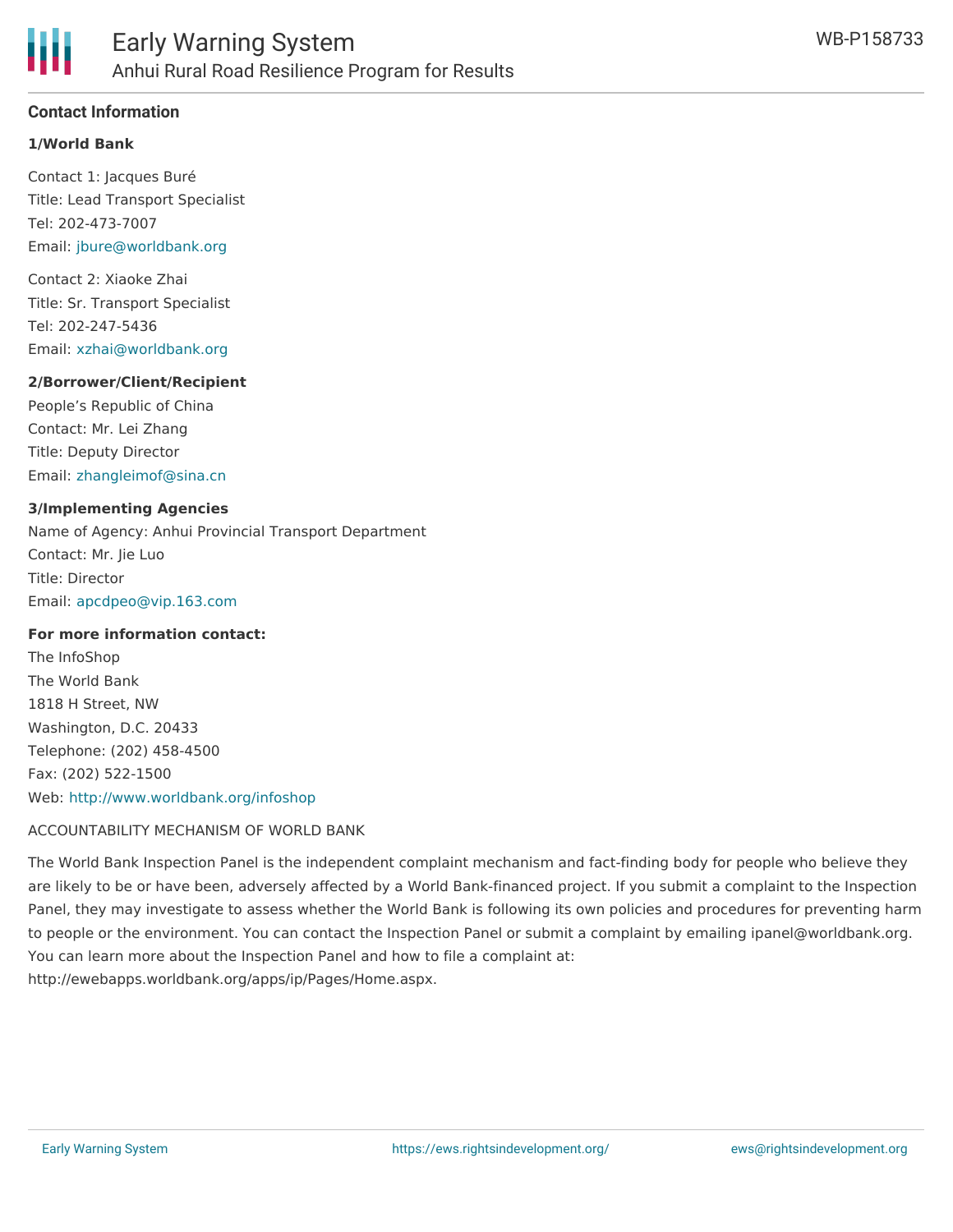

#### **Contact Information**

#### **1/World Bank**

Contact 1: Jacques Buré Title: Lead Transport Specialist Tel: 202-473-7007 Email: [jbure@worldbank.org](mailto:jbure@worldbank.org)

Contact 2: Xiaoke Zhai Title: Sr. Transport Specialist Tel: 202-247-5436 Email: [xzhai@worldbank.org](mailto:xzhai@worldbank.org)

#### **2/Borrower/Client/Recipient**

People's Republic of China Contact: Mr. Lei Zhang Title: Deputy Director Email: [zhangleimof@sina.cn](mailto:zhangleimof@sina.cn)

#### **3/Implementing Agencies**

Name of Agency: Anhui Provincial Transport Department Contact: Mr. Jie Luo Title: Director Email: [apcdpeo@vip.163.com](mailto:apcdpeo@vip.163.com)

#### **For more information contact:**

The InfoShop The World Bank 1818 H Street, NW Washington, D.C. 20433 Telephone: (202) 458-4500 Fax: (202) 522-1500 Web: <http://www.worldbank.org/infoshop>

#### ACCOUNTABILITY MECHANISM OF WORLD BANK

The World Bank Inspection Panel is the independent complaint mechanism and fact-finding body for people who believe they are likely to be or have been, adversely affected by a World Bank-financed project. If you submit a complaint to the Inspection Panel, they may investigate to assess whether the World Bank is following its own policies and procedures for preventing harm to people or the environment. You can contact the Inspection Panel or submit a complaint by emailing ipanel@worldbank.org. You can learn more about the Inspection Panel and how to file a complaint at: http://ewebapps.worldbank.org/apps/ip/Pages/Home.aspx.